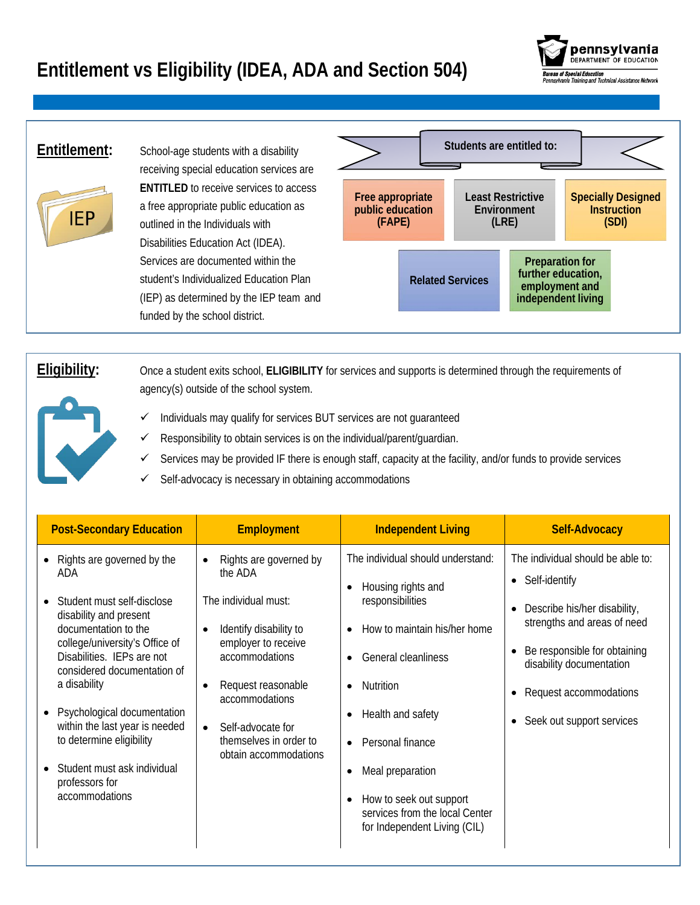## **Entitlement vs Eligibility (IDEA, ADA and Section 504)**





**Entitlement:** School-age students with a disability receiving special education services are **ENTITLED** to receive services to access a free appropriate public education as outlined in the Individuals with Disabilities Education Act (IDEA). Services are documented within the student's Individualized Education Plan (IEP) as determined by the IEP team and funded by the school district.



**Eligibility:** Once a student exits school, **ELIGIBILITY** for services and supports is determined through the requirements of agency(s) outside of the school system.

- Individuals may qualify for services BUT services are not guaranteed
- Responsibility to obtain services is on the individual/parent/guardian.
- Services may be provided IF there is enough staff, capacity at the facility, and/or funds to provide services
- $\checkmark$  Self-advocacy is necessary in obtaining accommodations

| <b>Post-Secondary Education</b>                                                                                                                                                                                                                                                                                                                                                                  | <b>Employment</b>                                                                                                                                                                                                                                                                                | <b>Independent Living</b>                                                                                                                                                                                                                                                                                                                                                                           | <b>Self-Advocacy</b>                                                                                                                                                                                                                   |
|--------------------------------------------------------------------------------------------------------------------------------------------------------------------------------------------------------------------------------------------------------------------------------------------------------------------------------------------------------------------------------------------------|--------------------------------------------------------------------------------------------------------------------------------------------------------------------------------------------------------------------------------------------------------------------------------------------------|-----------------------------------------------------------------------------------------------------------------------------------------------------------------------------------------------------------------------------------------------------------------------------------------------------------------------------------------------------------------------------------------------------|----------------------------------------------------------------------------------------------------------------------------------------------------------------------------------------------------------------------------------------|
| Rights are governed by the<br>ADA<br>Student must self-disclose<br>disability and present<br>documentation to the<br>college/university's Office of<br>Disabilities. IEPs are not<br>considered documentation of<br>a disability<br>Psychological documentation<br>within the last year is needed<br>to determine eligibility<br>Student must ask individual<br>professors for<br>accommodations | Rights are governed by<br>$\bullet$<br>the ADA<br>The individual must:<br>Identify disability to<br>$\bullet$<br>employer to receive<br>accommodations<br>Request reasonable<br>$\bullet$<br>accommodations<br>Self-advocate for<br>$\bullet$<br>themselves in order to<br>obtain accommodations | The individual should understand:<br>Housing rights and<br>$\bullet$<br>responsibilities<br>How to maintain his/her home<br>General cleanliness<br>$\bullet$<br><b>Nutrition</b><br>$\bullet$<br>Health and safety<br>$\bullet$<br>Personal finance<br>$\bullet$<br>Meal preparation<br>٠<br>How to seek out support<br>$\bullet$<br>services from the local Center<br>for Independent Living (CIL) | The individual should be able to:<br>• Self-identify<br>Describe his/her disability,<br>strengths and areas of need<br>Be responsible for obtaining<br>disability documentation<br>Request accommodations<br>Seek out support services |